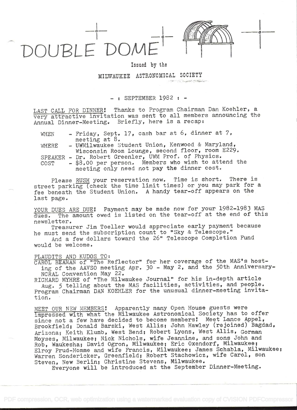

## Issued by the

i kacamatan ing Kabupatèn Kabupatèn

MILWAUKEE ASTRONOMICAL SOCIETY

## SEPTEMBER 1982 : -

LAST CALL FOR DINNER! Thanks to Program Chairman Dan Koehler, a very attractive invitation was sent to all members announcing the Annual Dinner-Meeting. Briefly, here is a recap:

| WHEN                                                      |  | - Friday, Sept. 17, cash bar at 6, dinner at 7,      |  |  |  |  |  |  |
|-----------------------------------------------------------|--|------------------------------------------------------|--|--|--|--|--|--|
|                                                           |  | meeting at $8.$                                      |  |  |  |  |  |  |
| - UWMilwaukee Student Union, Kenwood & Maryland,<br>WHERE |  |                                                      |  |  |  |  |  |  |
|                                                           |  | Wisconsin Room Lounge, second floor, room E229.      |  |  |  |  |  |  |
|                                                           |  | SPEAKER - Dr. Robert Greenler, UWM Prof. of Physics. |  |  |  |  |  |  |
| COST                                                      |  | - \$8.00 per person. Members who wish to attend the  |  |  |  |  |  |  |
|                                                           |  | meeting only need not pay the dinner cost.           |  |  |  |  |  |  |

Please RUSH your reservation now. Time is short. There is street parking (check the time limit times) or you may park for <sup>a</sup> fee beneath the Student Union. A handy tear-off appears on the last page.

YOUR DUES ARE DUE! Payment may be made now for your 1982-1983 MAS dues. The amount owed is listed on the tear-off at the end of this newsletter.

Treasurer Jim Toeller would appreciate early payment because he must send the subscription count to "Sky & Telescope."

And a few dollars toward the 26" Telescope Completion Fund would be welcome.

## PLAUDITS AND KUDOS TO:

CAROL BEAMAN of "The Reflector" for her coverage of the MAS's hosting of the AAVSO meeting Apr. 30 - May 2, and the 50th Anniversary-NCRAL Convention May 22.

RICHARD MYHRE of "The Milwaukee Journal" for his in-depth article

Aug. 5 telling about the MAS facilities, activities, and people. Program Chairman DAN KOERLER for the unusual dinner-meeting invitation.

MEET OUR NEW MEMBERS! Apparently many Open House guests were impressed with what the Milwaukee Astronomical Society has to offer since not a few have decided to become members! Meet Lance Appel, Brookfield; Donald Barski, West Allis; John Hawley (rejoined) Bagdad, Arizona; Keith Klumb, West Bend; Robert Lyons, West Allis, Gorman Moyses, Milwaukee; Nick Nichols, wife Jeannine, and sons John and Rob, Waukesha; David Ogron, Milwaukee; Eric Oxendorf, Milwaukee; Elroy Prud-Homme and wife Francis, Milwaukee; James Schabla, Milwaukee; Warren Sondericker, Greenfield; Robert Stachowicz, wife Carol, son Steven, New Berlin; Christine Stevens, Milwaukee.

Everyone will be introduced at the September Dinner-Meeting.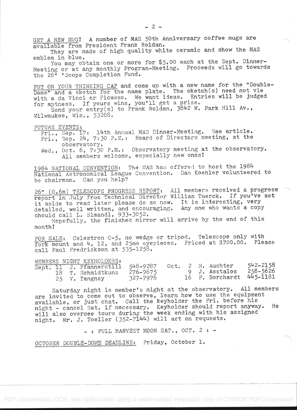GET A NEW MUG! A number of MAS 50th Anniversary coffee mugs are available from President Frank Roldan.

They are made of high quality white ceramic and show the MAS emblem in blue.

You may obtain one or more for \$5.00 each at the Sept. Dinner-Meeting or at any monthly Program-Meeting. Proceeds will go towards the 26" 'scope Completion Fund.

PUT ON YOUR THINKING CAP and come up with a new name for the "Double-Dome" and a sketch for the name plate. The sketch(s) need not vie with a da Vinci or Picasso. We want ideas. Entries will be judged for aptness. If yours wins, you'll get a prize.

Send your entry(s) to Frank Roldan, 3842 W. Park Hill Av., Milwaukee, Wis., 53208.

FUTURE EVENTS:

Fri., Sep. 17: 14th Annual MAS Dinner-Meeting. See article. Fri., Sep. 24, 7:30 P.M.: Board of Directors meeting, at the observatory. observatory.

Wed., Oct. 6, 7:30 P.M.: Observatory meeting at the observatory. All members welcome, especially new ones!

1984 NATIONAL CONVENTION: The MAS has offered to host the 1984 National Astronomical League Convention. Dan. Koehier volunteered to be chairman. Can you help?

26" (O.6m) TELESCOPE PROGRESS REPORT: Ail members received a progress report in July from Technical Director William Tuerck. If you've set it aside to read later please do so now. It is interesting, very detailed, well written, and encouraging. Any one who wants a copy should call L. Simandl, 933-3052.

Hopefully, the finished mirror will arrive by the end of this month!

FOR SALE: Celestron C-5, no wedge or tripod. Telescope only with fork mount and 4, 12, and 25mm eyepieces. Priced at \$700.00. Please call Paul Fredrickson at 535-1258.

|  | MEMBERS NIGHT KEYHOLDERS:         |              |  |                          |          |  |
|--|-----------------------------------|--------------|--|--------------------------|----------|--|
|  | Sept. 11 J. Pfannerstill 548-9287 |              |  | Oct. 2 H. Auchter        | 542-2158 |  |
|  | 18 T. Schmidtkunz                 | $276 - 9675$ |  | 9 J. Asztalos            | 258-5626 |  |
|  | 25 V. Tangney                     | 327-7976     |  | 16 P. Borchardt 445-1181 |          |  |

Saturday night is member's night at the observatory. All members are invited to come out to observe, learn how to use the equipment available, or just chat. Call the keyholder the Fri. before his night - cancel Sat, if necessary. Keyholder should report anyway. He will also oversee tours during the week ending with his assigned night. Mr. J. Toeller (352-7144) will act on requests.

 $-$ : FULL HARVEST MOON SAT., OCT. 2 :  $-$ 

OCTOBER DOUBLE-DOME DEADLINE: Friday, October 1.